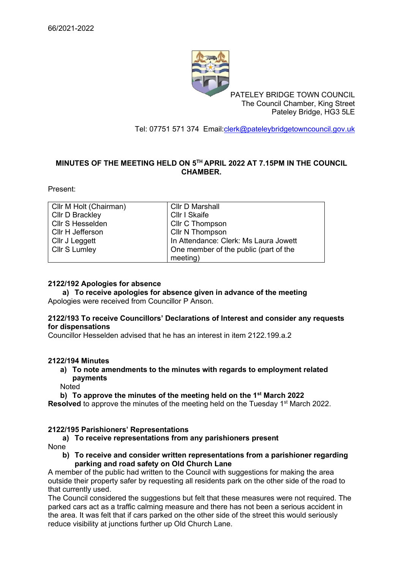

PATELEY BRIDGE TOWN COUNCIL The Council Chamber, King Street Pateley Bridge, HG3 5LE

Tel: 07751 571 374 Email[:clerk@pateleybridgetowncouncil.gov.uk](mailto:clerk@pateleybridgetowncouncil.gov.uk)

# **MINUTES OF THE MEETING HELD ON 5 TH APRIL 2022 AT 7.15PM IN THE COUNCIL CHAMBER.**

Present:

| Cllr M Holt (Chairman) | <b>Cllr D Marshall</b>                |
|------------------------|---------------------------------------|
| <b>Cllr D Brackley</b> | Cllr I Skaife                         |
| Cllr S Hesselden       | Cllr C Thompson                       |
| Cllr H Jefferson       | Cllr N Thompson                       |
| Cllr J Leggett         | In Attendance: Clerk: Ms Laura Jowett |
| <b>Cllr S Lumley</b>   | One member of the public (part of the |
|                        | meeting)                              |

### **2122/192 Apologies for absence**

**a) To receive apologies for absence given in advance of the meeting** Apologies were received from Councillor P Anson.

### **2122/193 To receive Councillors' Declarations of Interest and consider any requests for dispensations**

Councillor Hesselden advised that he has an interest in item 2122.199.a.2

#### **2122/194 Minutes**

**a) To note amendments to the minutes with regards to employment related payments**

**Noted** 

## **b) To approve the minutes of the meeting held on the 1st March 2022**

**Resolved** to approve the minutes of the meeting held on the Tuesday 1<sup>st</sup> March 2022.

## **2122/195 Parishioners' Representations**

**a) To receive representations from any parishioners present**  None

**b) To receive and consider written representations from a parishioner regarding parking and road safety on Old Church Lane**

A member of the public had written to the Council with suggestions for making the area outside their property safer by requesting all residents park on the other side of the road to that currently used.

The Council considered the suggestions but felt that these measures were not required. The parked cars act as a traffic calming measure and there has not been a serious accident in the area. It was felt that if cars parked on the other side of the street this would seriously reduce visibility at junctions further up Old Church Lane.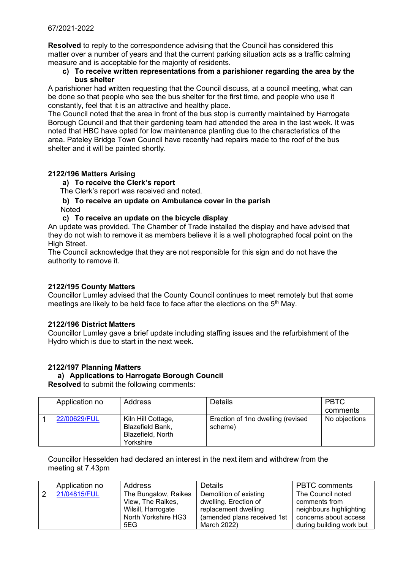**Resolved** to reply to the correspondence advising that the Council has considered this matter over a number of years and that the current parking situation acts as a traffic calming measure and is acceptable for the majority of residents.

## **c) To receive written representations from a parishioner regarding the area by the bus shelter**

A parishioner had written requesting that the Council discuss, at a council meeting, what can be done so that people who see the bus shelter for the first time, and people who use it constantly, feel that it is an attractive and healthy place.

The Council noted that the area in front of the bus stop is currently maintained by Harrogate Borough Council and that their gardening team had attended the area in the last week. It was noted that HBC have opted for low maintenance planting due to the characteristics of the area. Pateley Bridge Town Council have recently had repairs made to the roof of the bus shelter and it will be painted shortly.

# **2122/196 Matters Arising**

**a) To receive the Clerk's report**

The Clerk's report was received and noted.

**b) To receive an update on Ambulance cover in the parish Noted** 

## **c) To receive an update on the bicycle display**

An update was provided. The Chamber of Trade installed the display and have advised that they do not wish to remove it as members believe it is a well photographed focal point on the High Street.

The Council acknowledge that they are not responsible for this sign and do not have the authority to remove it.

## **2122/195 County Matters**

Councillor Lumley advised that the County Council continues to meet remotely but that some meetings are likely to be held face to face after the elections on the  $5<sup>th</sup>$  May.

## **2122/196 District Matters**

Councillor Lumley gave a brief update including staffing issues and the refurbishment of the Hydro which is due to start in the next week.

## **2122/197 Planning Matters**

# **a) Applications to Harrogate Borough Council**

**Resolved** to submit the following comments:

| Application no | <b>Address</b>                                                           | <b>Details</b>                               | <b>PBTC</b>   |
|----------------|--------------------------------------------------------------------------|----------------------------------------------|---------------|
|                |                                                                          |                                              | comments      |
| 22/00629/FUL   | Kiln Hill Cottage,<br>Blazefield Bank,<br>Blazefield, North<br>Yorkshire | Erection of 1no dwelling (revised<br>scheme) | No objections |

Councillor Hesselden had declared an interest in the next item and withdrew from the meeting at 7.43pm

|               | Application no | Address              | <b>Details</b>              | <b>PBTC</b> comments     |
|---------------|----------------|----------------------|-----------------------------|--------------------------|
| $\mathcal{P}$ | 21/04815/FUL   | The Bungalow, Raikes | Demolition of existing      | The Council noted        |
|               |                | View, The Raikes,    | dwelling. Erection of       | comments from            |
|               |                | Wilsill, Harrogate   | replacement dwelling        | neighbours highlighting  |
|               |                | North Yorkshire HG3  | (amended plans received 1st | concerns about access    |
|               |                | 5EG                  | March 2022)                 | during building work but |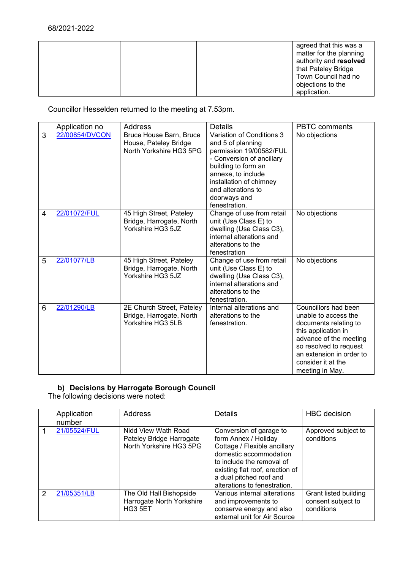|  |  | agreed that this was a<br>matter for the planning<br>authority and resolved<br>that Pateley Bridge<br>Town Council had no |
|--|--|---------------------------------------------------------------------------------------------------------------------------|
|  |  | objections to the<br>application.                                                                                         |

Councillor Hesselden returned to the meeting at 7.53pm.

|                | Application no | <b>Address</b>                                                              | <b>Details</b>                                                                                                                                                                                                                        | <b>PBTC</b> comments                                                                                                                                                                                                  |
|----------------|----------------|-----------------------------------------------------------------------------|---------------------------------------------------------------------------------------------------------------------------------------------------------------------------------------------------------------------------------------|-----------------------------------------------------------------------------------------------------------------------------------------------------------------------------------------------------------------------|
| 3              | 22/00854/DVCON | Bruce House Barn, Bruce<br>House, Pateley Bridge<br>North Yorkshire HG3 5PG | Variation of Conditions 3<br>and 5 of planning<br>permission 19/00582/FUL<br>- Conversion of ancillary<br>building to form an<br>annexe, to include<br>installation of chimney<br>and alterations to<br>doorways and<br>fenestration. | No objections                                                                                                                                                                                                         |
| $\overline{4}$ | 22/01072/FUL   | 45 High Street, Pateley<br>Bridge, Harrogate, North<br>Yorkshire HG3 5JZ    | Change of use from retail<br>unit (Use Class E) to<br>dwelling (Use Class C3),<br>internal alterations and<br>alterations to the<br>fenestration                                                                                      | No objections                                                                                                                                                                                                         |
| 5              | 22/01077/LB    | 45 High Street, Pateley<br>Bridge, Harrogate, North<br>Yorkshire HG3 5JZ    | Change of use from retail<br>unit (Use Class E) to<br>dwelling (Use Class C3),<br>internal alterations and<br>alterations to the<br>fenestration.                                                                                     | No objections                                                                                                                                                                                                         |
| 6              | 22/01290/LB    | 2E Church Street, Pateley<br>Bridge, Harrogate, North<br>Yorkshire HG3 5LB  | Internal alterations and<br>alterations to the<br>fenestration.                                                                                                                                                                       | Councillors had been<br>unable to access the<br>documents relating to<br>this application in<br>advance of the meeting<br>so resolved to request<br>an extension in order to<br>consider it at the<br>meeting in May. |

# **b) Decisions by Harrogate Borough Council**

The following decisions were noted:

|               | Application<br>number | Address                                                                    | Details                                                                                                                                                                                                                              | <b>HBC</b> decision                                       |
|---------------|-----------------------|----------------------------------------------------------------------------|--------------------------------------------------------------------------------------------------------------------------------------------------------------------------------------------------------------------------------------|-----------------------------------------------------------|
|               | 21/05524/FUL          | Nidd View Wath Road<br>Pateley Bridge Harrogate<br>North Yorkshire HG3 5PG | Conversion of garage to<br>form Annex / Holiday<br>Cottage / Flexible ancillary<br>domestic accommodation<br>to include the removal of<br>existing flat roof, erection of<br>a dual pitched roof and<br>alterations to fenestration. | Approved subject to<br>conditions                         |
| $\mathcal{P}$ | 21/05351/LB           | The Old Hall Bishopside<br>Harrogate North Yorkshire<br>HG3 5ET            | Various internal alterations<br>and improvements to<br>conserve energy and also<br>external unit for Air Source                                                                                                                      | Grant listed building<br>consent subject to<br>conditions |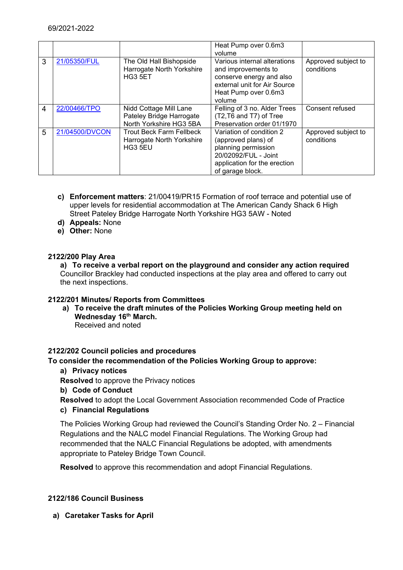|   |                |                                                                         | Heat Pump over 0.6m3                                                                                                                               |                                   |
|---|----------------|-------------------------------------------------------------------------|----------------------------------------------------------------------------------------------------------------------------------------------------|-----------------------------------|
|   |                |                                                                         | volume                                                                                                                                             |                                   |
| 3 | 21/05350/FUL   | The Old Hall Bishopside<br>Harrogate North Yorkshire<br>HG3 5ET         | Various internal alterations<br>and improvements to<br>conserve energy and also<br>external unit for Air Source<br>Heat Pump over 0.6m3<br>volume  | Approved subject to<br>conditions |
| 4 | 22/00466/TPO   | Nidd Cottage Mill Lane                                                  | Felling of 3 no. Alder Trees                                                                                                                       | Consent refused                   |
|   |                | Pateley Bridge Harrogate                                                | (T2, T6 and T7) of Tree                                                                                                                            |                                   |
|   |                | North Yorkshire HG3 5BA                                                 | Preservation order 01/1970                                                                                                                         |                                   |
| 5 | 21/04500/DVCON | <b>Trout Beck Farm Fellbeck</b><br>Harrogate North Yorkshire<br>HG3 5EU | Variation of condition 2<br>(approved plans) of<br>planning permission<br>20/02092/FUL - Joint<br>application for the erection<br>of garage block. | Approved subject to<br>conditions |

- **c) Enforcement matters**: 21/00419/PR15 Formation of roof terrace and potential use of upper levels for residential accommodation at The American Candy Shack 6 High Street Pateley Bridge Harrogate North Yorkshire HG3 5AW - Noted
- **d) Appeals:** None
- **e) Other:** None

# **2122/200 Play Area**

**a) To receive a verbal report on the playground and consider any action required** Councillor Brackley had conducted inspections at the play area and offered to carry out the next inspections.

## **2122/201 Minutes/ Reports from Committees**

**a) To receive the draft minutes of the Policies Working Group meeting held on Wednesday 16th March.** Received and noted

## **2122/202 Council policies and procedures**

## **To consider the recommendation of the Policies Working Group to approve:**

**a) Privacy notices**

**Resolved** to approve the Privacy notices

**b) Code of Conduct**

**Resolved** to adopt the Local Government Association recommended Code of Practice

**c) Financial Regulations**

The Policies Working Group had reviewed the Council's Standing Order No. 2 – Financial Regulations and the NALC model Financial Regulations. The Working Group had recommended that the NALC Financial Regulations be adopted, with amendments appropriate to Pateley Bridge Town Council.

**Resolved** to approve this recommendation and adopt Financial Regulations.

## **2122/186 Council Business**

**a) Caretaker Tasks for April**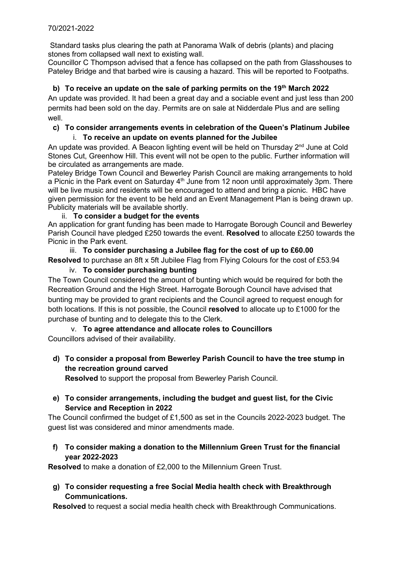Standard tasks plus clearing the path at Panorama Walk of debris (plants) and placing stones from collapsed wall next to existing wall.

Councillor C Thompson advised that a fence has collapsed on the path from Glasshouses to Pateley Bridge and that barbed wire is causing a hazard. This will be reported to Footpaths.

# **b) To receive an update on the sale of parking permits on the 19th March 2022**

An update was provided. It had been a great day and a sociable event and just less than 200 permits had been sold on the day. Permits are on sale at Nidderdale Plus and are selling well.

# **c) To consider arrangements events in celebration of the Queen's Platinum Jubilee**

# i. **To receive an update on events planned for the Jubilee**

An update was provided. A Beacon lighting event will be held on Thursday  $2<sup>nd</sup>$  June at Cold Stones Cut, Greenhow Hill. This event will not be open to the public. Further information will be circulated as arrangements are made.

Pateley Bridge Town Council and Bewerley Parish Council are making arrangements to hold a Picnic in the Park event on Saturday  $4<sup>th</sup>$  June from 12 noon until approximately 3pm. There will be live music and residents will be encouraged to attend and bring a picnic. HBC have given permission for the event to be held and an Event Management Plan is being drawn up. Publicity materials will be available shortly.

# ii. **To consider a budget for the events**

An application for grant funding has been made to Harrogate Borough Council and Bewerley Parish Council have pledged £250 towards the event. **Resolved** to allocate £250 towards the Picnic in the Park event.

# iii. **To consider purchasing a Jubilee flag for the cost of up to £60.00 Resolved** to purchase an 8ft x 5ft Jubilee Flag from Flying Colours for the cost of £53.94

# iv. **To consider purchasing bunting**

The Town Council considered the amount of bunting which would be required for both the Recreation Ground and the High Street. Harrogate Borough Council have advised that bunting may be provided to grant recipients and the Council agreed to request enough for both locations. If this is not possible, the Council **resolved** to allocate up to £1000 for the purchase of bunting and to delegate this to the Clerk.

# v. **To agree attendance and allocate roles to Councillors**

Councillors advised of their availability.

# **d) To consider a proposal from Bewerley Parish Council to have the tree stump in the recreation ground carved**

**Resolved** to support the proposal from Bewerley Parish Council.

# **e) To consider arrangements, including the budget and guest list, for the Civic Service and Reception in 2022**

The Council confirmed the budget of £1,500 as set in the Councils 2022-2023 budget. The guest list was considered and minor amendments made.

# **f) To consider making a donation to the Millennium Green Trust for the financial year 2022-2023**

**Resolved** to make a donation of £2,000 to the Millennium Green Trust.

**g) To consider requesting a free Social Media health check with Breakthrough Communications.**

**Resolved** to request a social media health check with Breakthrough Communications.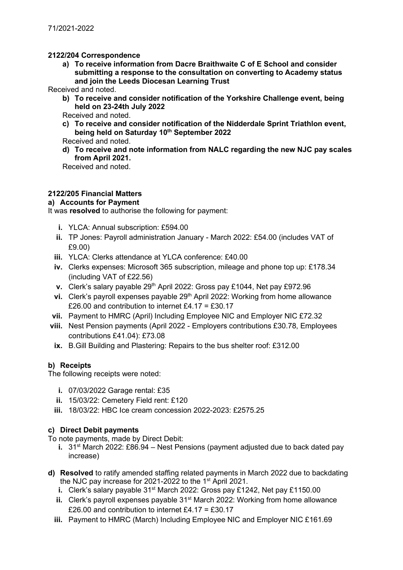# **2122/204 Correspondence**

**a) To receive information from Dacre Braithwaite C of E School and consider submitting a response to the consultation on converting to Academy status and join the Leeds Diocesan Learning Trust**

Received and noted.

**b) To receive and consider notification of the Yorkshire Challenge event, being held on 23-24th July 2022**

Received and noted.

**c) To receive and consider notification of the Nidderdale Sprint Triathlon event, being held on Saturday 10th September 2022**

Received and noted.

**d) To receive and note information from NALC regarding the new NJC pay scales from April 2021.**

Received and noted.

# **2122/205 Financial Matters**

# **a) Accounts for Payment**

It was **resolved** to authorise the following for payment:

- **i.** YLCA: Annual subscription: £594.00
- **ii.** TP Jones: Payroll administration January March 2022: £54.00 (includes VAT of £9.00)
- **iii.** YLCA: Clerks attendance at YLCA conference: £40.00
- **iv.** Clerks expenses: Microsoft 365 subscription, mileage and phone top up: £178.34 (including VAT of £22.56)
- **v.** Clerk's salary payable 29<sup>th</sup> April 2022: Gross pay £1044, Net pay £972.96
- **vi.** Clerk's payroll expenses payable 29<sup>th</sup> April 2022: Working from home allowance £26.00 and contribution to internet £4.17 = £30.17
- **vii.** Payment to HMRC (April) Including Employee NIC and Employer NIC £72.32
- **viii.** Nest Pension payments (April 2022 Employers contributions £30.78, Employees contributions £41.04): £73.08
	- **ix.** B.Gill Building and Plastering: Repairs to the bus shelter roof: £312.00

# **b) Receipts**

The following receipts were noted:

- **i.** 07/03/2022 Garage rental: £35
- **ii.** 15/03/22: Cemetery Field rent: £120
- **iii.** 18/03/22: HBC Ice cream concession 2022-2023: £2575.25

# **c) Direct Debit payments**

To note payments, made by Direct Debit:

- **i.** 31<sup>st</sup> March 2022: £86.94 Nest Pensions (payment adjusted due to back dated pay increase)
- **d) Resolved** to ratify amended staffing related payments in March 2022 due to backdating the NJC pay increase for 2021-2022 to the 1st April 2021.
	- **i.** Clerk's salary payable 31<sup>st</sup> March 2022: Gross pay £1242, Net pay £1150.00
	- **ii.** Clerk's payroll expenses payable 31<sup>st</sup> March 2022: Working from home allowance £26.00 and contribution to internet £4.17 = £30.17
	- **iii.** Payment to HMRC (March) Including Employee NIC and Employer NIC £161.69